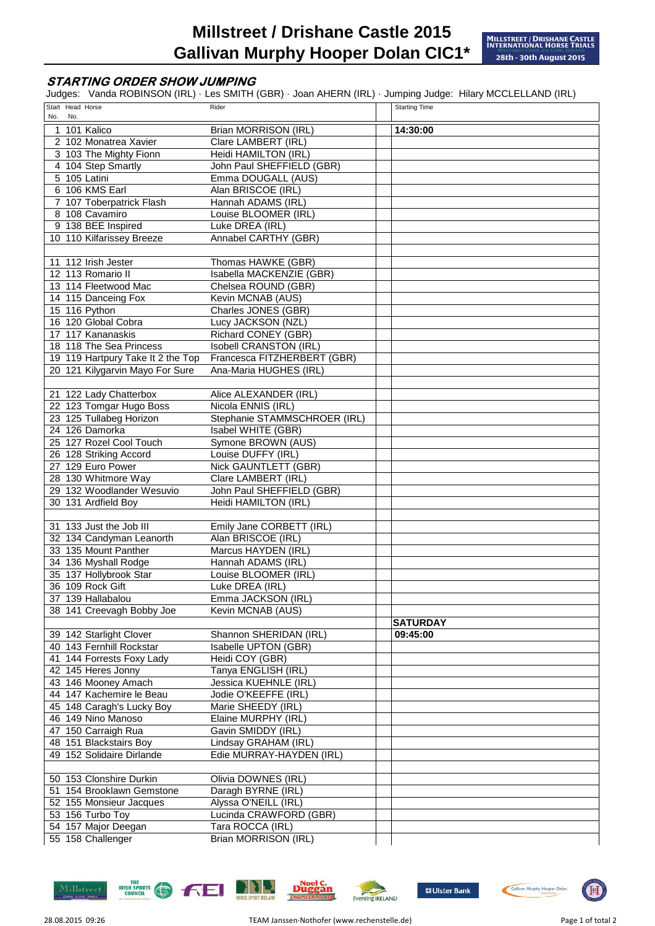## **STARTING ORDER SHOW JUMPING**

Judges: Vanda ROBINSON (IRL) · Les SMITH (GBR) · Joan AHERN (IRL) · Jumping Judge: Hilary MCCLELLAND (IRL)

| No. | Start Head Horse<br>No. |                                                     | Rider                                  | <b>Starting Time</b> |
|-----|-------------------------|-----------------------------------------------------|----------------------------------------|----------------------|
| 1   |                         | 101 Kalico                                          | Brian MORRISON (IRL)                   | 14:30:00             |
|     |                         | 2 102 Monatrea Xavier                               | Clare LAMBERT (IRL)                    |                      |
|     |                         | 3 103 The Mighty Fionn                              | Heidi HAMILTON (IRL)                   |                      |
|     |                         | 4 104 Step Smartly                                  | John Paul SHEFFIELD (GBR)              |                      |
|     |                         | 5 105 Latini                                        | Emma DOUGALL (AUS)                     |                      |
|     |                         | 6 106 KMS Earl                                      | Alan BRISCOE (IRL)                     |                      |
|     |                         | 7 107 Toberpatrick Flash                            | Hannah ADAMS (IRL)                     |                      |
|     |                         | 8 108 Cavamiro                                      | Louise BLOOMER (IRL)                   |                      |
|     |                         | 9 138 BEE Inspired                                  | Luke DREA (IRL)                        |                      |
|     |                         | 10 110 Kilfarissey Breeze                           | Annabel CARTHY (GBR)                   |                      |
|     |                         |                                                     |                                        |                      |
|     |                         | 11 112 Irish Jester                                 | Thomas HAWKE (GBR)                     |                      |
|     |                         | 12 113 Romario II                                   | Isabella MACKENZIE (GBR)               |                      |
|     |                         | 13 114 Fleetwood Mac                                | Chelsea ROUND (GBR)                    |                      |
|     |                         | 14 115 Danceing Fox                                 | Kevin MCNAB (AUS)                      |                      |
|     |                         | 15 116 Python                                       | Charles JONES (GBR)                    |                      |
|     |                         | 16 120 Global Cobra                                 | Lucy JACKSON (NZL)                     |                      |
|     |                         | 17 117 Kananaskis                                   | <b>Richard CONEY (GBR)</b>             |                      |
|     |                         | 18 118 The Sea Princess                             | Isobell CRANSTON (IRL)                 |                      |
|     |                         | 19 119 Hartpury Take It 2 the Top                   | Francesca FITZHERBERT (GBR)            |                      |
|     |                         | 20 121 Kilygarvin Mayo For Sure                     | Ana-Maria HUGHES (IRL)                 |                      |
|     |                         |                                                     |                                        |                      |
|     |                         | 21 122 Lady Chatterbox                              | Alice ALEXANDER (IRL)                  |                      |
|     |                         | 22 123 Tomgar Hugo Boss                             | Nicola ENNIS (IRL)                     |                      |
|     |                         | 23 125 Tullabeg Horizon                             | Stephanie STAMMSCHROER (IRL)           |                      |
|     |                         | 24 126 Damorka                                      | Isabel WHITE (GBR)                     |                      |
|     |                         | 25 127 Rozel Cool Touch                             | Symone BROWN (AUS)                     |                      |
|     |                         | 26 128 Striking Accord                              | Louise DUFFY (IRL)                     |                      |
|     |                         | 27 129 Euro Power                                   | Nick GAUNTLETT (GBR)                   |                      |
|     |                         | 28 130 Whitmore Way                                 | Clare LAMBERT (IRL)                    |                      |
|     |                         | 29 132 Woodlander Wesuvio                           | John Paul SHEFFIELD (GBR)              |                      |
|     |                         | 30 131 Ardfield Boy                                 | Heidi HAMILTON (IRL)                   |                      |
|     |                         |                                                     |                                        |                      |
|     |                         | 31 133 Just the Job III                             | Emily Jane CORBETT (IRL)               |                      |
|     |                         | 32 134 Candyman Leanorth                            | Alan BRISCOE (IRL)                     |                      |
|     |                         | 33 135 Mount Panther                                | Marcus HAYDEN (IRL)                    |                      |
|     |                         | 34 136 Myshall Rodge                                | Hannah ADAMS (IRL)                     |                      |
|     |                         | 35 137 Hollybrook Star                              | Louise BLOOMER (IRL)                   |                      |
|     |                         | 36 109 Rock Gift                                    | Luke DREA (IRL)                        |                      |
|     |                         | 37 139 Hallabalou                                   | Emma JACKSON (IRL)                     |                      |
|     |                         | 38 141 Creevagh Bobby Joe                           | Kevin MCNAB (AUS)                      |                      |
|     |                         |                                                     |                                        | <b>SATURDAY</b>      |
|     |                         | 39 142 Starlight Clover<br>40 143 Fernhill Rockstar | Shannon SHERIDAN (IRL)                 | 09:45:00             |
|     |                         |                                                     | Isabelle UPTON (GBR)                   |                      |
|     |                         | 41 144 Forrests Foxy Lady                           | Heidi COY (GBR)<br>Tanya ENGLISH (IRL) |                      |
|     |                         | 42 145 Heres Jonny<br>43 146 Mooney Amach           | Jessica KUEHNLE (IRL)                  |                      |
|     |                         | 44 147 Kachemire le Beau                            | Jodie O'KEEFFE (IRL)                   |                      |
|     |                         | 45 148 Caragh's Lucky Boy                           | Marie SHEEDY (IRL)                     |                      |
|     |                         | 46 149 Nino Manoso                                  | Elaine MURPHY (IRL)                    |                      |
|     |                         | 47 150 Carraigh Rua                                 | Gavin SMIDDY (IRL)                     |                      |
|     |                         | 48 151 Blackstairs Boy                              | Lindsay GRAHAM (IRL)                   |                      |
|     |                         | 49 152 Solidaire Dirlande                           | Edie MURRAY-HAYDEN (IRL)               |                      |
|     |                         |                                                     |                                        |                      |
|     |                         | 50 153 Clonshire Durkin                             | Olivia DOWNES (IRL)                    |                      |
|     |                         | 51 154 Brooklawn Gemstone                           | Daragh BYRNE (IRL)                     |                      |
|     |                         | 52 155 Monsieur Jacques                             | Alyssa O'NEILL (IRL)                   |                      |
|     |                         | 53 156 Turbo Toy                                    | Lucinda CRAWFORD (GBR)                 |                      |
|     |                         | 54 157 Major Deegan                                 | Tara ROCCA (IRL)                       |                      |
|     |                         | 55 158 Challenger                                   | Brian MORRISON (IRL)                   |                      |
|     |                         |                                                     |                                        |                      |